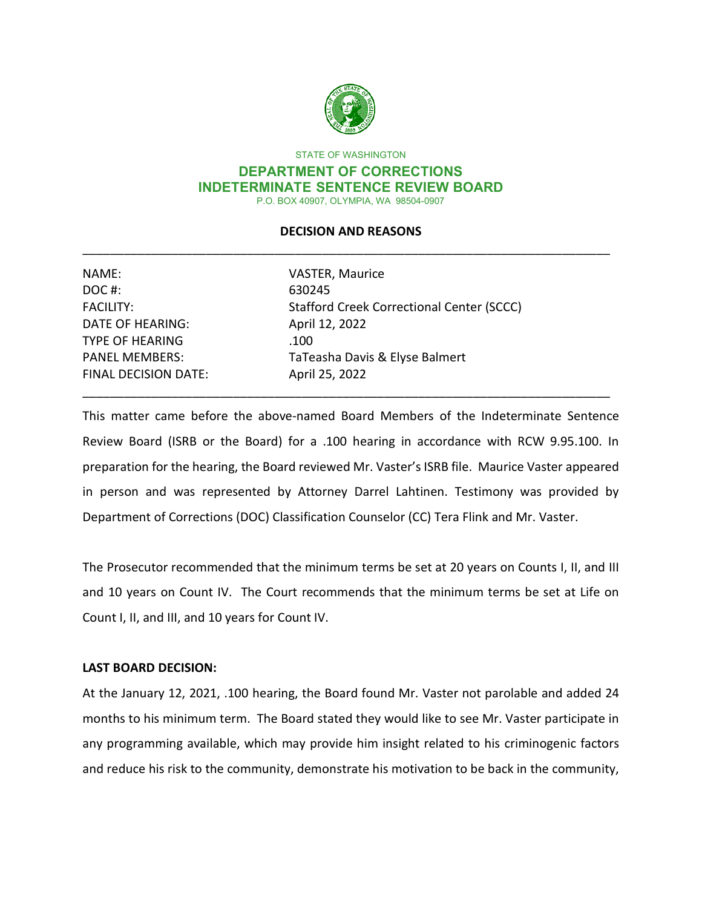

STATE OF WASHINGTON

### **DEPARTMENT OF CORRECTIONS INDETERMINATE SENTENCE REVIEW BOARD**  P.O. BOX 40907, OLYMPIA, WA 98504-0907

# \_\_\_\_\_\_\_\_\_\_\_\_\_\_\_\_\_\_\_\_\_\_\_\_\_\_\_\_\_\_\_\_\_\_\_\_\_\_\_\_\_\_\_\_\_\_\_\_\_\_\_\_\_\_\_\_\_\_\_\_\_\_\_\_\_\_\_\_\_\_\_\_\_\_\_\_\_ **DECISION AND REASONS**

| NAME:                       | <b>VASTER, Maurice</b>                    |
|-----------------------------|-------------------------------------------|
| DOC#:                       | 630245                                    |
| <b>FACILITY:</b>            | Stafford Creek Correctional Center (SCCC) |
| <b>DATE OF HEARING:</b>     | April 12, 2022                            |
| <b>TYPE OF HEARING</b>      | .100                                      |
| <b>PANEL MEMBERS:</b>       | TaTeasha Davis & Elyse Balmert            |
| <b>FINAL DECISION DATE:</b> | April 25, 2022                            |

 preparation for the hearing, the Board reviewed Mr. Vaster's ISRB file. Maurice Vaster appeared Department of Corrections (DOC) Classification Counselor (CC) Tera Flink and Mr. Vaster. This matter came before the above-named Board Members of the Indeterminate Sentence Review Board (ISRB or the Board) for a .100 hearing in accordance with RCW 9.95.100. In in person and was represented by Attorney Darrel Lahtinen. Testimony was provided by

\_\_\_\_\_\_\_\_\_\_\_\_\_\_\_\_\_\_\_\_\_\_\_\_\_\_\_\_\_\_\_\_\_\_\_\_\_\_\_\_\_\_\_\_\_\_\_\_\_\_\_\_\_\_\_\_\_\_\_\_\_\_\_\_\_\_\_\_\_\_\_\_\_\_\_\_\_

 The Prosecutor recommended that the minimum terms be set at 20 years on Counts I, II, and III and 10 years on Count IV. The Court recommends that the minimum terms be set at Life on Count I, II, and III, and 10 years for Count IV.

# **LAST BOARD DECISION:**

 At the January 12, 2021, .100 hearing, the Board found Mr. Vaster not parolable and added 24 months to his minimum term. The Board stated they would like to see Mr. Vaster participate in and reduce his risk to the community, demonstrate his motivation to be back in the community, any programming available, which may provide him insight related to his criminogenic factors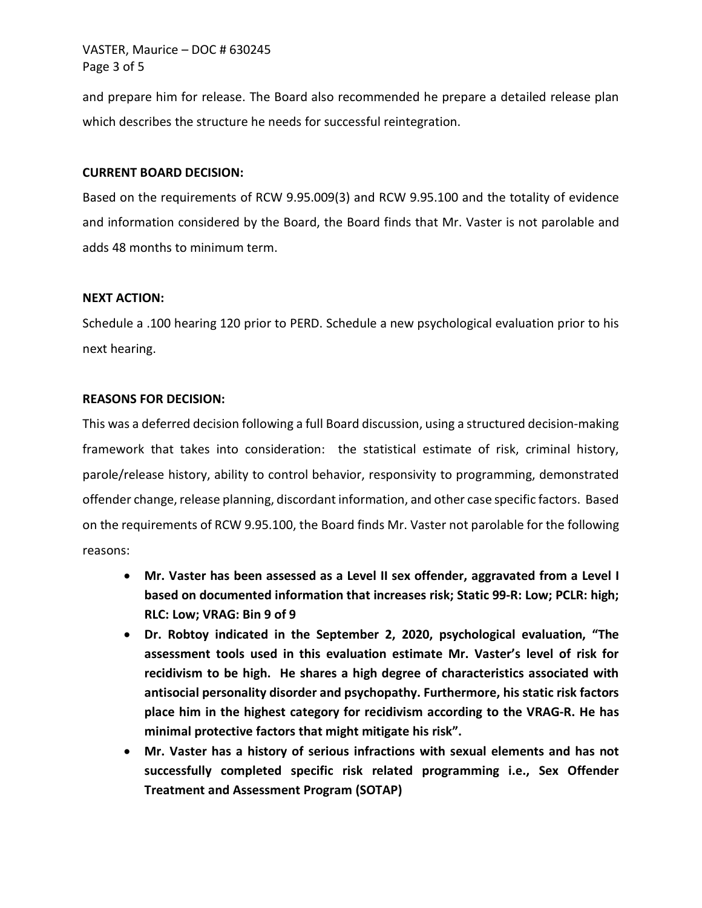# VASTER, Maurice – DOC # 630245 Page 3 of 5

 which describes the structure he needs for successful reintegration. and prepare him for release. The Board also recommended he prepare a detailed release plan

### **CURRENT BOARD DECISION:**

 and information considered by the Board, the Board finds that Mr. Vaster is not parolable and Based on the requirements of RCW 9.95.009(3) and RCW 9.95.100 and the totality of evidence adds 48 months to minimum term.

### **NEXT ACTION:**

Schedule a .100 hearing 120 prior to PERD. Schedule a new psychological evaluation prior to his next hearing.

## **REASONS FOR DECISION:**

 This was a deferred decision following a full Board discussion, using a structured decision-making framework that takes into consideration: the statistical estimate of risk, criminal history, offender change, release planning, discordant information, and other case specific factors. Based on the requirements of RCW 9.95.100, the Board finds Mr. Vaster not parolable for the following reasons: parole/release history, ability to control behavior, responsivity to programming, demonstrated

- **Mr. Vaster has been assessed as a Level II sex offender, aggravated from a Level I based on documented information that increases risk; Static 99-R: Low; PCLR: high; RLC: Low; VRAG: Bin 9 of 9**
- **assessment tools used in this evaluation estimate Mr. Vaster's level of risk for**  • **Dr. Robtoy indicated in the September 2, 2020, psychological evaluation, "The recidivism to be high. He shares a high degree of characteristics associated with antisocial personality disorder and psychopathy. Furthermore, his static risk factors place him in the highest category for recidivism according to the VRAG-R. He has minimal protective factors that might mitigate his risk".**
- **Mr. Vaster has a history of serious infractions with sexual elements and has not successfully completed specific risk related programming i.e., Sex Offender Treatment and Assessment Program (SOTAP)**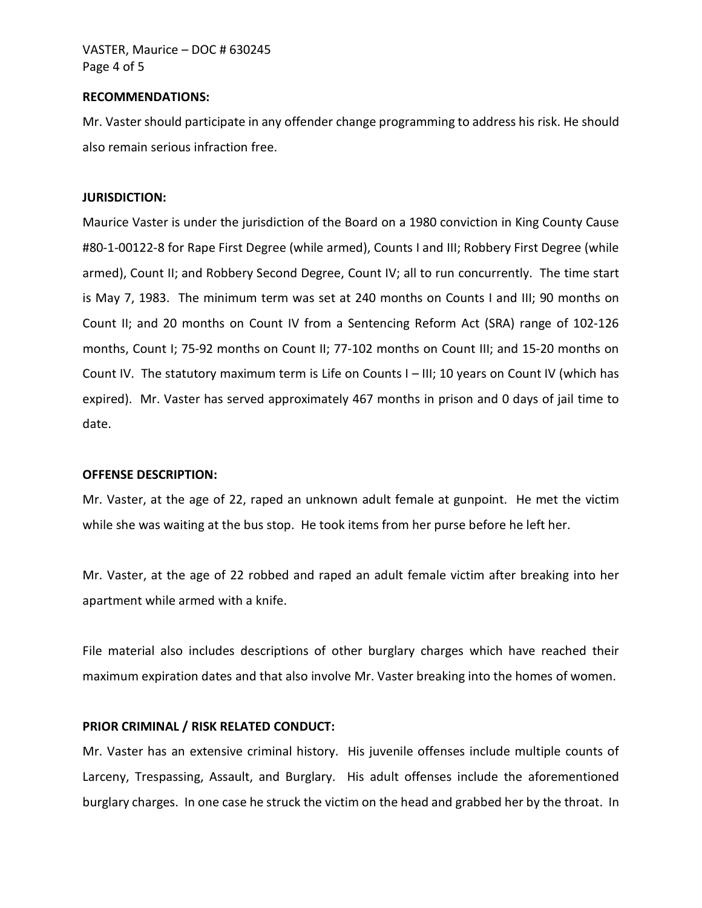# VASTER, Maurice – DOC # 630245 Page 4 of 5

#### **RECOMMENDATIONS:**

 Mr. Vaster should participate in any offender change programming to address his risk. He should also remain serious infraction free.

#### **JURISDICTION:**

 #80-1-00122-8 for Rape First Degree (while armed), Counts I and III; Robbery First Degree (while armed), Count II; and Robbery Second Degree, Count IV; all to run concurrently. The time start is May 7, 1983. The minimum term was set at 240 months on Counts I and III; 90 months on months, Count I; 75-92 months on Count II; 77-102 months on Count III; and 15-20 months on Count IV. The statutory maximum term is Life on Counts I – III; 10 years on Count IV (which has expired). Mr. Vaster has served approximately 467 months in prison and 0 days of jail time to Maurice Vaster is under the jurisdiction of the Board on a 1980 conviction in King County Cause Count II; and 20 months on Count IV from a Sentencing Reform Act (SRA) range of 102-126 date.

### **OFFENSE DESCRIPTION:**

 Mr. Vaster, at the age of 22, raped an unknown adult female at gunpoint. He met the victim while she was waiting at the bus stop. He took items from her purse before he left her.

while she was waiting at the bus stop. He took items from her purse before he left her.<br>Mr. Vaster, at the age of 22 robbed and raped an adult female victim after breaking into her apartment while armed with a knife.

 File material also includes descriptions of other burglary charges which have reached their maximum expiration dates and that also involve Mr. Vaster breaking into the homes of women.

#### **PRIOR CRIMINAL / RISK RELATED CONDUCT:**

 Mr. Vaster has an extensive criminal history. His juvenile offenses include multiple counts of Larceny, Trespassing, Assault, and Burglary. His adult offenses include the aforementioned burglary charges. In one case he struck the victim on the head and grabbed her by the throat. In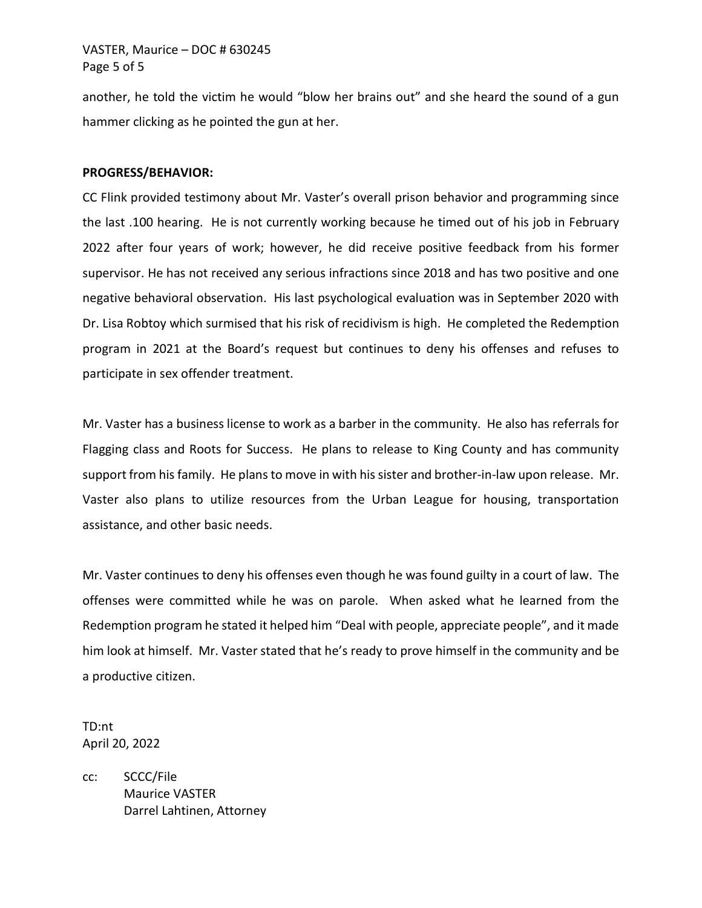# VASTER, Maurice – DOC # 630245 Page 5 of 5

 another, he told the victim he would "blow her brains out" and she heard the sound of a gun hammer clicking as he pointed the gun at her.

### **PROGRESS/BEHAVIOR:**

 Dr. Lisa Robtoy which surmised that his risk of recidivism is high. He completed the Redemption program in 2021 at the Board's request but continues to deny his offenses and refuses to CC Flink provided testimony about Mr. Vaster's overall prison behavior and programming since the last .100 hearing. He is not currently working because he timed out of his job in February 2022 after four years of work; however, he did receive positive feedback from his former supervisor. He has not received any serious infractions since 2018 and has two positive and one negative behavioral observation. His last psychological evaluation was in September 2020 with participate in sex offender treatment.

 Mr. Vaster has a business license to work as a barber in the community. He also has referrals for support from his family. He plans to move in with his sister and brother-in-law upon release. Mr. Vaster also plans to utilize resources from the Urban League for housing, transportation Flagging class and Roots for Success. He plans to release to King County and has community assistance, and other basic needs.

 Mr. Vaster continues to deny his offenses even though he was found guilty in a court of law. The Redemption program he stated it helped him "Deal with people, appreciate people", and it made offenses were committed while he was on parole. When asked what he learned from the him look at himself. Mr. Vaster stated that he's ready to prove himself in the community and be a productive citizen.

TD:nt April 20, 2022

cc: SCCC/File Maurice VASTER Darrel Lahtinen, Attorney